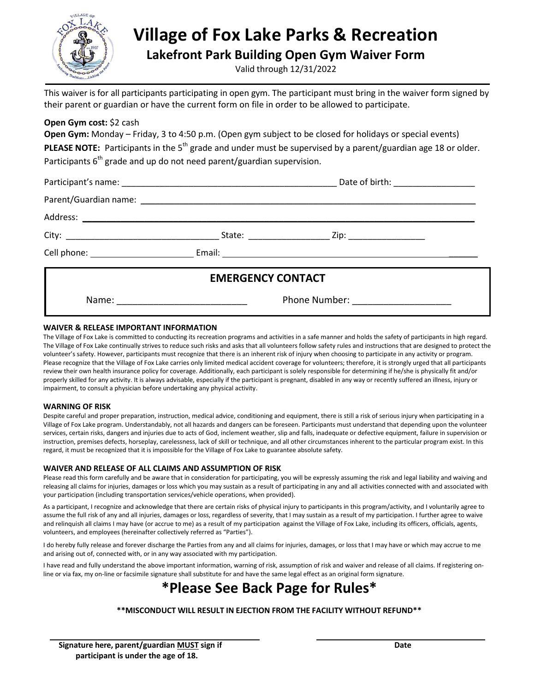

## **Village of Fox Lake Parks & Recreation**

**Lakefront Park Building Open Gym Waiver Form**

Valid through 12/31/2022

This waiver is for all participants participating in open gym. The participant must bring in the waiver form signed by their parent or guardian or have the current form on file in order to be allowed to participate.

#### **Open Gym cost:** \$2 cash

**Open Gym:** Monday – Friday, 3 to 4:50 p.m. (Open gym subject to be closed for holidays or special events) **PLEASE NOTE:** Participants in the 5<sup>th</sup> grade and under must be supervised by a parent/guardian age 18 or older. Participants  $6<sup>th</sup>$  grade and up do not need parent/guardian supervision.

|                          | Date of birth: ____________________ |  |
|--------------------------|-------------------------------------|--|
|                          |                                     |  |
|                          |                                     |  |
|                          |                                     |  |
|                          |                                     |  |
| <b>EMERGENCY CONTACT</b> |                                     |  |
|                          | Phone Number: ____________________  |  |

#### **WAIVER & RELEASE IMPORTANT INFORMATION**

The Village of Fox Lake is committed to conducting its recreation programs and activities in a safe manner and holds the safety of participants in high regard. The Village of Fox Lake continually strives to reduce such risks and asks that all volunteers follow safety rules and instructions that are designed to protect the volunteer's safety. However, participants must recognize that there is an inherent risk of injury when choosing to participate in any activity or program. Please recognize that the Village of Fox Lake carries only limited medical accident coverage for volunteers; therefore, it is strongly urged that all participants review their own health insurance policy for coverage. Additionally, each participant is solely responsible for determining if he/she is physically fit and/or properly skilled for any activity. It is always advisable, especially if the participant is pregnant, disabled in any way or recently suffered an illness, injury or impairment, to consult a physician before undertaking any physical activity.

#### **WARNING OF RISK**

Despite careful and proper preparation, instruction, medical advice, conditioning and equipment, there is still a risk of serious injury when participating in a Village of Fox Lake program. Understandably, not all hazards and dangers can be foreseen. Participants must understand that depending upon the volunteer services, certain risks, dangers and injuries due to acts of God, inclement weather, slip and falls, inadequate or defective equipment, failure in supervision or instruction, premises defects, horseplay, carelessness, lack of skill or technique, and all other circumstances inherent to the particular program exist. In this regard, it must be recognized that it is impossible for the Village of Fox Lake to guarantee absolute safety.

#### **WAIVER AND RELEASE OF ALL CLAIMS AND ASSUMPTION OF RISK**

Please read this form carefully and be aware that in consideration for participating, you will be expressly assuming the risk and legal liability and waiving and releasing all claims for injuries, damages or loss which you may sustain as a result of participating in any and all activities connected with and associated with your participation (including transportation services/vehicle operations, when provided).

As a participant, I recognize and acknowledge that there are certain risks of physical injury to participants in this program/activity, and I voluntarily agree to assume the full risk of any and all injuries, damages or loss, regardless of severity, that I may sustain as a result of my participation. I further agree to waive and relinquish all claims I may have (or accrue to me) as a result of my participation against the Village of Fox Lake, including its officers, officials, agents, volunteers, and employees (hereinafter collectively referred as "Parties").

I do hereby fully release and forever discharge the Parties from any and all claims for injuries, damages, or loss that I may have or which may accrue to me and arising out of, connected with, or in any way associated with my participation.

I have read and fully understand the above important information, warning of risk, assumption of risk and waiver and release of all claims. If registering online or via fax, my on-line or facsimile signature shall substitute for and have the same legal effect as an original form signature.

### **\*Please See Back Page for Rules\***

**\*\*MISCONDUCT WILL RESULT IN EJECTION FROM THE FACILITY WITHOUT REFUND\*\***